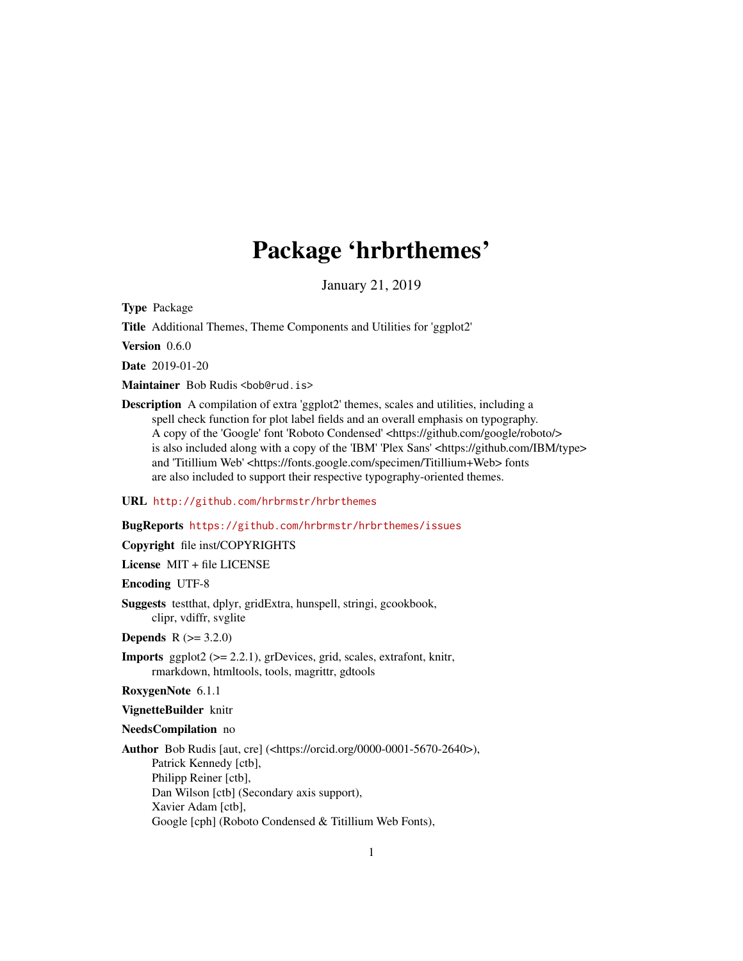# Package 'hrbrthemes'

January 21, 2019

<span id="page-0-0"></span>Type Package

Title Additional Themes, Theme Components and Utilities for 'ggplot2'

Version 0.6.0

Date 2019-01-20

Maintainer Bob Rudis <bob@rud.is>

Description A compilation of extra 'ggplot2' themes, scales and utilities, including a spell check function for plot label fields and an overall emphasis on typography. A copy of the 'Google' font 'Roboto Condensed' <https://github.com/google/roboto/> is also included along with a copy of the 'IBM' 'Plex Sans' <https://github.com/IBM/type> and 'Titillium Web' <https://fonts.google.com/specimen/Titillium+Web> fonts are also included to support their respective typography-oriented themes.

# URL <http://github.com/hrbrmstr/hrbrthemes>

#### BugReports <https://github.com/hrbrmstr/hrbrthemes/issues>

#### Copyright file inst/COPYRIGHTS

License MIT + file LICENSE

Encoding UTF-8

Suggests testthat, dplyr, gridExtra, hunspell, stringi, gcookbook, clipr, vdiffr, svglite

**Depends** R  $(>= 3.2.0)$ 

- Imports ggplot2 (>= 2.2.1), grDevices, grid, scales, extrafont, knitr, rmarkdown, htmltools, tools, magrittr, gdtools
- RoxygenNote 6.1.1

#### VignetteBuilder knitr

#### NeedsCompilation no

Author Bob Rudis [aut, cre] (<https://orcid.org/0000-0001-5670-2640>), Patrick Kennedy [ctb], Philipp Reiner [ctb], Dan Wilson [ctb] (Secondary axis support), Xavier Adam [ctb], Google [cph] (Roboto Condensed & Titillium Web Fonts),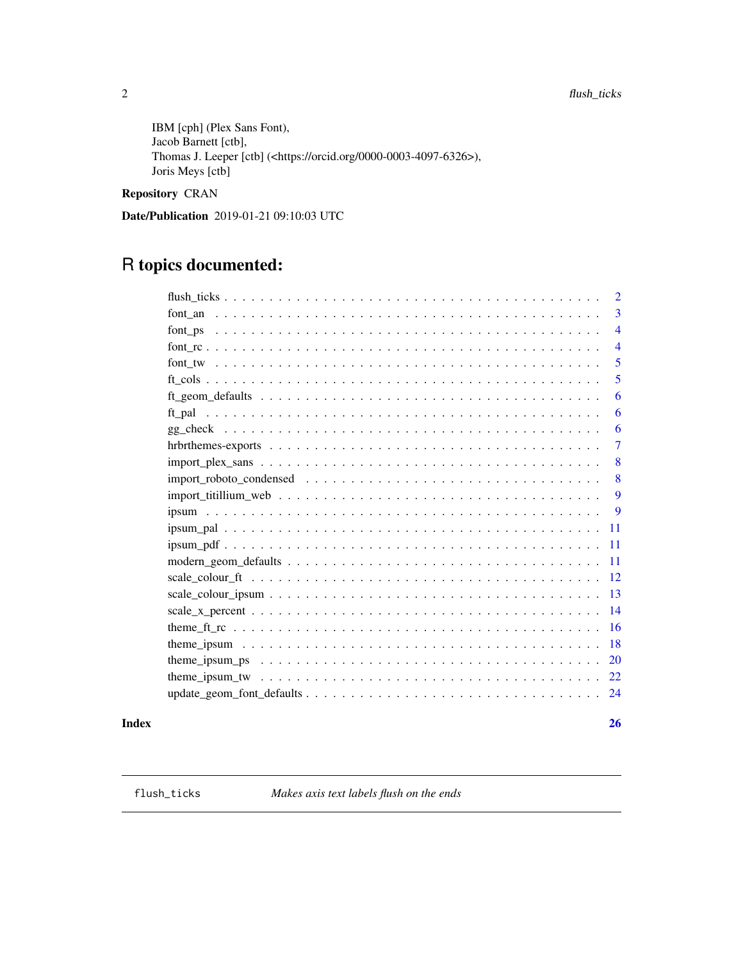<span id="page-1-0"></span>IBM [cph] (Plex Sans Font), Jacob Barnett [ctb], Thomas J. Leeper [ctb] (<https://orcid.org/0000-0003-4097-6326>), Joris Meys [ctb]

# Repository CRAN

Date/Publication 2019-01-21 09:10:03 UTC

# R topics documented:

| $\overline{2}$                                                                                                               |
|------------------------------------------------------------------------------------------------------------------------------|
| 3                                                                                                                            |
| $\overline{4}$                                                                                                               |
| $\overline{4}$                                                                                                               |
| 5                                                                                                                            |
| 5                                                                                                                            |
| 6                                                                                                                            |
| 6                                                                                                                            |
| 6                                                                                                                            |
| 7                                                                                                                            |
| 8                                                                                                                            |
| 8                                                                                                                            |
| 9                                                                                                                            |
| 9                                                                                                                            |
| -11                                                                                                                          |
| -11                                                                                                                          |
| -11                                                                                                                          |
| -12                                                                                                                          |
| <sup>13</sup>                                                                                                                |
| 14<br>$scale_x percent                    $                                                                                  |
| <b>16</b>                                                                                                                    |
| 18                                                                                                                           |
| theme_ipsum_ps $\dots \dots \dots \dots \dots \dots \dots \dots \dots \dots \dots \dots \dots \dots \dots \dots \dots$<br>20 |
| 22                                                                                                                           |
| -24                                                                                                                          |

#### **Index** [26](#page-25-0)

flush\_ticks *Makes axis text labels flush on the ends*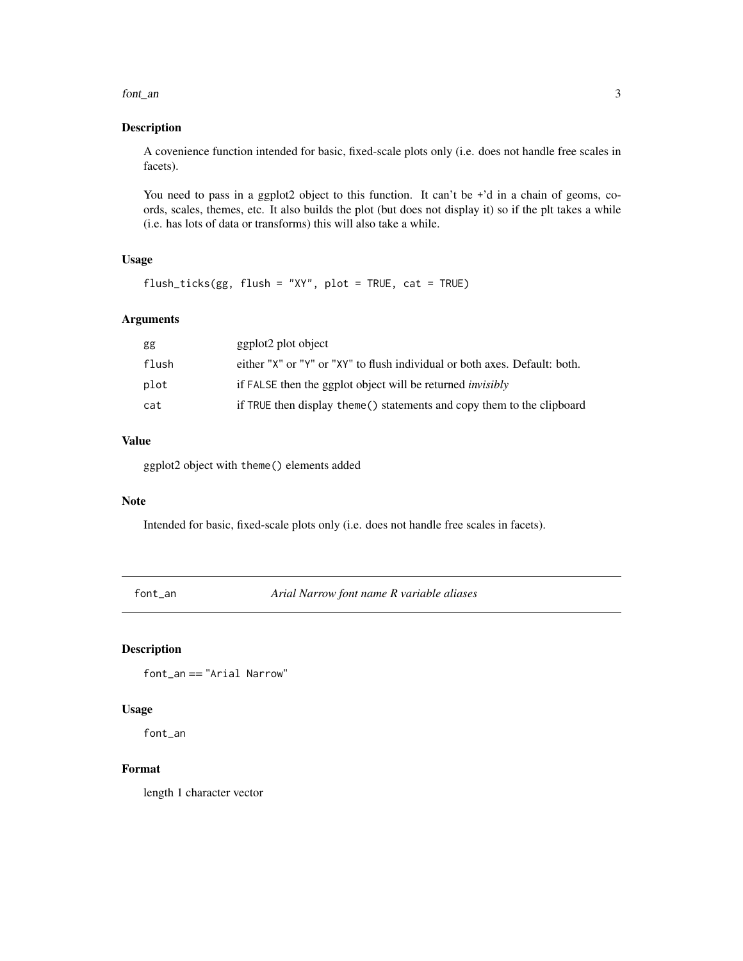#### <span id="page-2-0"></span>font\_an 3

# Description

A covenience function intended for basic, fixed-scale plots only (i.e. does not handle free scales in facets).

You need to pass in a ggplot2 object to this function. It can't be +'d in a chain of geoms, coords, scales, themes, etc. It also builds the plot (but does not display it) so if the plt takes a while (i.e. has lots of data or transforms) this will also take a while.

# Usage

flush\_ticks(gg, flush = "XY", plot = TRUE, cat = TRUE)

# Arguments

| gg    | ggplot2 plot object                                                        |
|-------|----------------------------------------------------------------------------|
| flush | either "X" or "Y" or "XY" to flush individual or both axes. Default: both. |
| plot  | if FALSE then the ggplot object will be returned <i>invisibly</i>          |
| cat   | if TRUE then display theme () statements and copy them to the clipboard    |

# Value

ggplot2 object with theme() elements added

#### Note

Intended for basic, fixed-scale plots only (i.e. does not handle free scales in facets).

font\_an *Arial Narrow font name R variable aliases*

## Description

font\_an == "Arial Narrow"

#### Usage

font\_an

### Format

length 1 character vector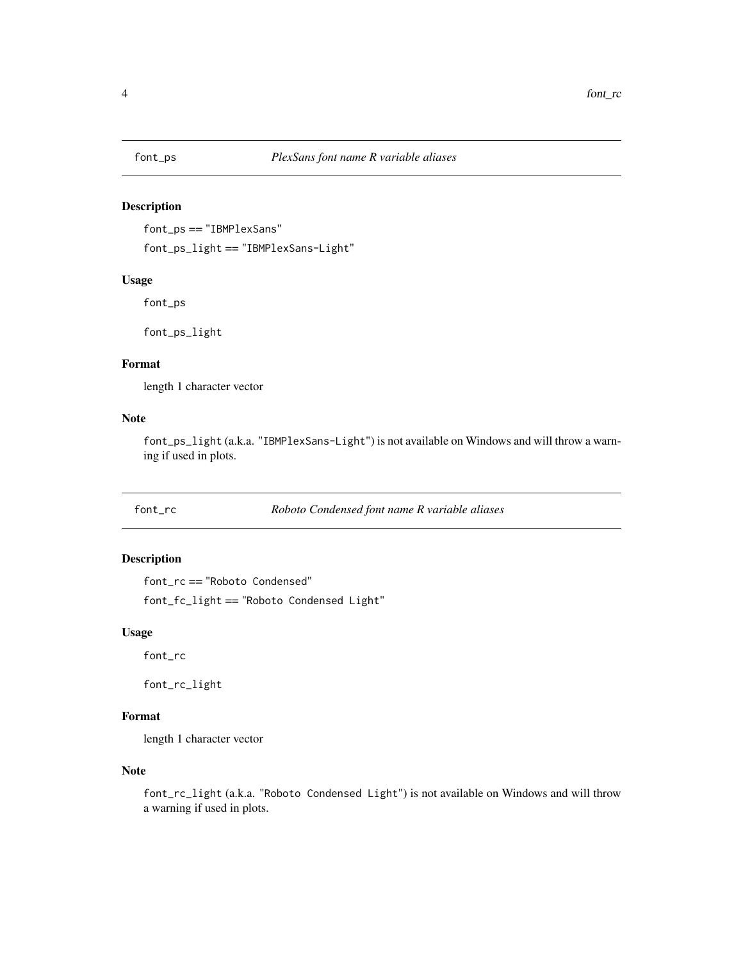<span id="page-3-0"></span>

font\_ps == "IBMPlexSans"

font\_ps\_light == "IBMPlexSans-Light"

# Usage

font\_ps

font\_ps\_light

# Format

length 1 character vector

# Note

font\_ps\_light (a.k.a. "IBMPlexSans-Light") is not available on Windows and will throw a warning if used in plots.

font\_rc *Roboto Condensed font name R variable aliases*

# Description

font\_rc == "Roboto Condensed"

font\_fc\_light == "Roboto Condensed Light"

#### Usage

font\_rc

font\_rc\_light

# Format

length 1 character vector

# Note

font\_rc\_light (a.k.a. "Roboto Condensed Light") is not available on Windows and will throw a warning if used in plots.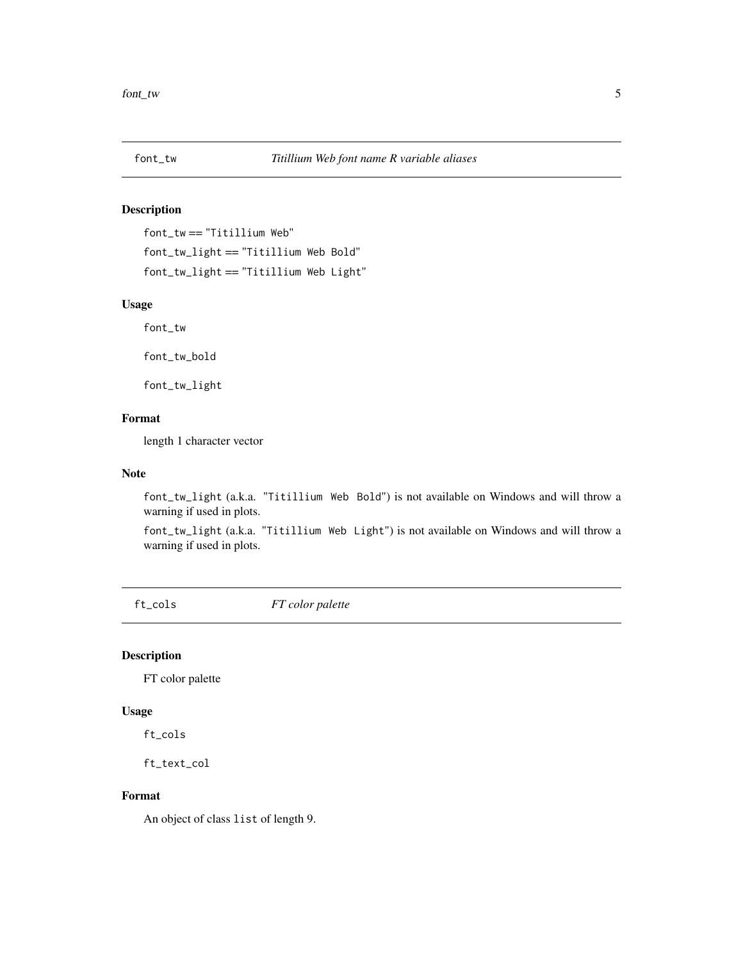<span id="page-4-0"></span>

font\_tw == "Titillium Web" font\_tw\_light == "Titillium Web Bold" font\_tw\_light == "Titillium Web Light"

#### Usage

font\_tw

font\_tw\_bold

font\_tw\_light

# Format

length 1 character vector

#### Note

font\_tw\_light (a.k.a. "Titillium Web Bold") is not available on Windows and will throw a warning if used in plots.

font\_tw\_light (a.k.a. "Titillium Web Light") is not available on Windows and will throw a warning if used in plots.

ft\_cols *FT color palette*

# Description

FT color palette

# Usage

ft\_cols

ft\_text\_col

# Format

An object of class list of length 9.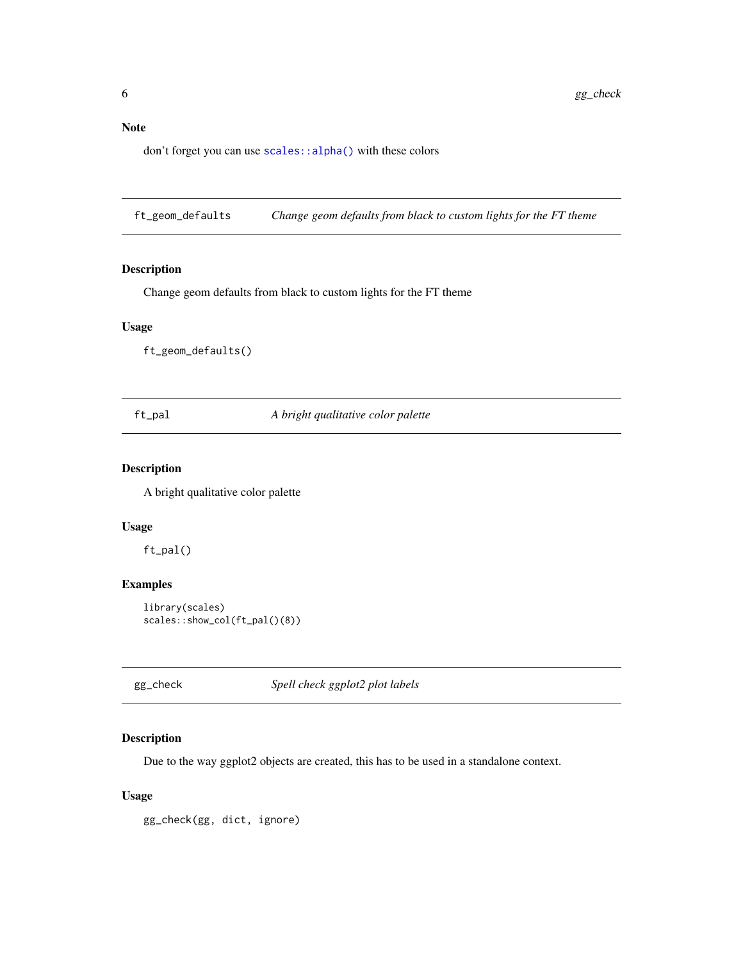# <span id="page-5-0"></span>Note

don't forget you can use [scales::alpha\(\)](#page-0-0) with these colors

ft\_geom\_defaults *Change geom defaults from black to custom lights for the FT theme*

#### Description

Change geom defaults from black to custom lights for the FT theme

# Usage

ft\_geom\_defaults()

ft\_pal *A bright qualitative color palette*

# Description

A bright qualitative color palette

# Usage

ft\_pal()

# Examples

```
library(scales)
scales::show_col(ft_pal()(8))
```
gg\_check *Spell check ggplot2 plot labels*

# Description

Due to the way ggplot2 objects are created, this has to be used in a standalone context.

# Usage

gg\_check(gg, dict, ignore)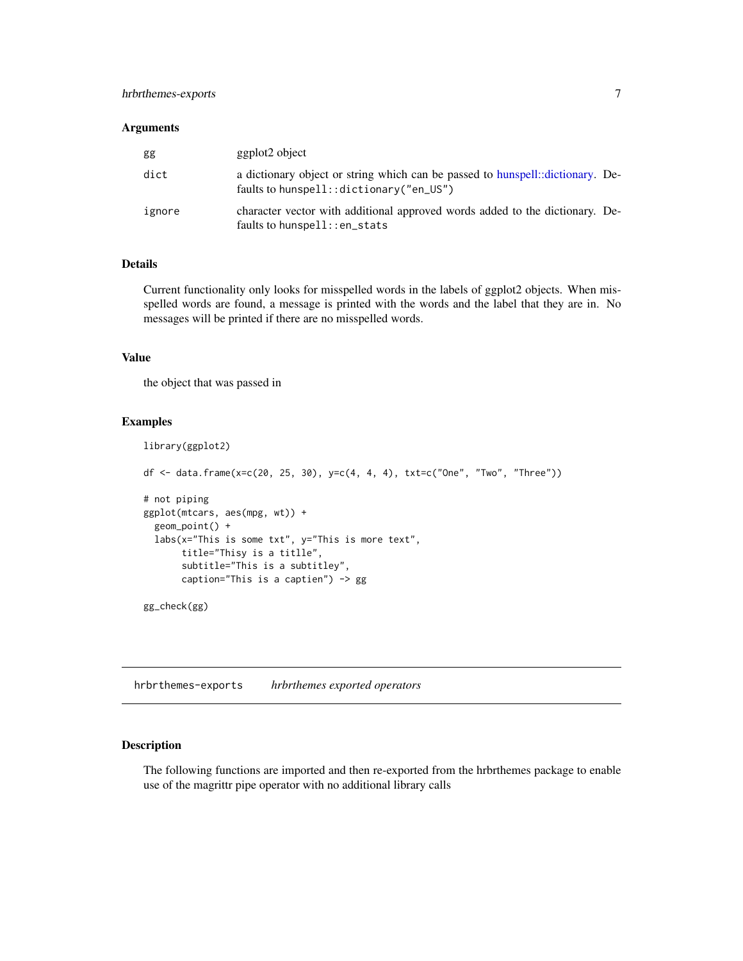# <span id="page-6-0"></span>hrbrthemes-exports 7

#### Arguments

| gg     | ggplot <sub>2</sub> object                                                                                                 |
|--------|----------------------------------------------------------------------------------------------------------------------------|
| dict   | a dictionary object or string which can be passed to hunspell: dictionary. De-<br>faults to hunspell:: dictionary("en_US") |
| ignore | character vector with additional approved words added to the dictionary. De-<br>faults to hunspell::en_stats               |

# Details

Current functionality only looks for misspelled words in the labels of ggplot2 objects. When misspelled words are found, a message is printed with the words and the label that they are in. No messages will be printed if there are no misspelled words.

# Value

the object that was passed in

#### Examples

```
library(ggplot2)
df <- data.frame(x=c(20, 25, 30), y=c(4, 4, 4), txt=c("One", "Two", "Three"))
# not piping
ggplot(mtcars, aes(mpg, wt)) +
  geom_point() +
  labs(x="This is some txt", y="This is more text",
      title="Thisy is a titlle",
       subtitle="This is a subtitley",
       caption="This is a captien") -> gg
gg_check(gg)
```
hrbrthemes-exports *hrbrthemes exported operators*

# Description

The following functions are imported and then re-exported from the hrbrthemes package to enable use of the magrittr pipe operator with no additional library calls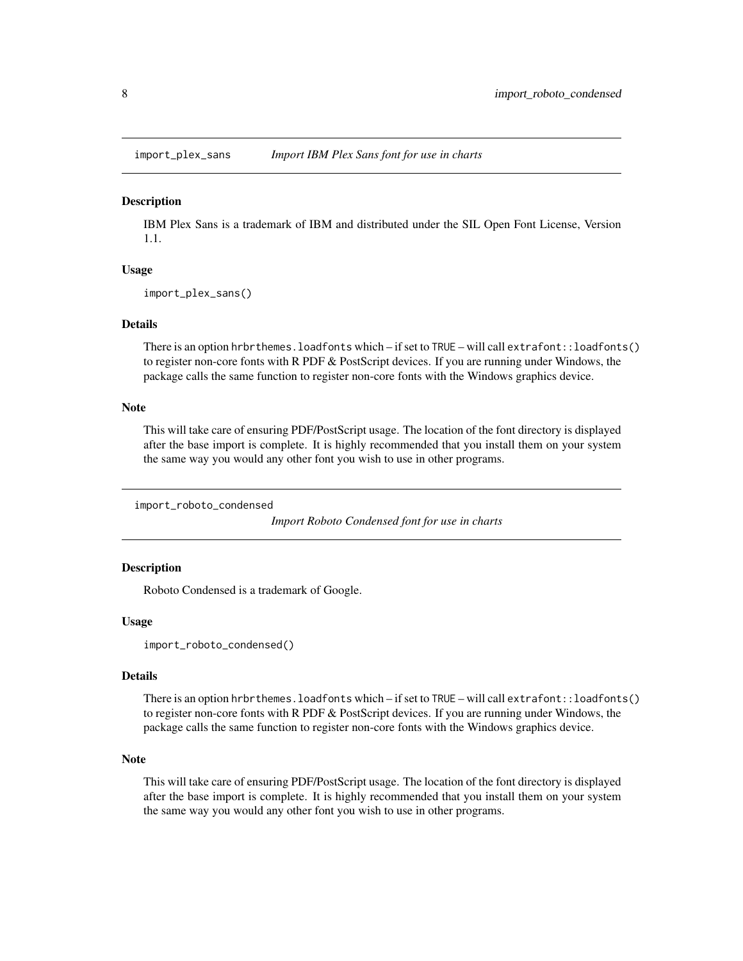<span id="page-7-0"></span>

IBM Plex Sans is a trademark of IBM and distributed under the SIL Open Font License, Version 1.1.

#### Usage

```
import_plex_sans()
```
#### Details

There is an option hrbrthemes.loadfonts which – if set to TRUE – will call extrafont::loadfonts() to register non-core fonts with R PDF  $&$  PostScript devices. If you are running under Windows, the package calls the same function to register non-core fonts with the Windows graphics device.

# Note

This will take care of ensuring PDF/PostScript usage. The location of the font directory is displayed after the base import is complete. It is highly recommended that you install them on your system the same way you would any other font you wish to use in other programs.

import\_roboto\_condensed

*Import Roboto Condensed font for use in charts*

# **Description**

Roboto Condensed is a trademark of Google.

#### Usage

```
import_roboto_condensed()
```
#### Details

There is an option hrbrthemes.loadfonts which – if set to TRUE – will call extrafont::loadfonts() to register non-core fonts with R PDF  $&$  PostScript devices. If you are running under Windows, the package calls the same function to register non-core fonts with the Windows graphics device.

#### Note

This will take care of ensuring PDF/PostScript usage. The location of the font directory is displayed after the base import is complete. It is highly recommended that you install them on your system the same way you would any other font you wish to use in other programs.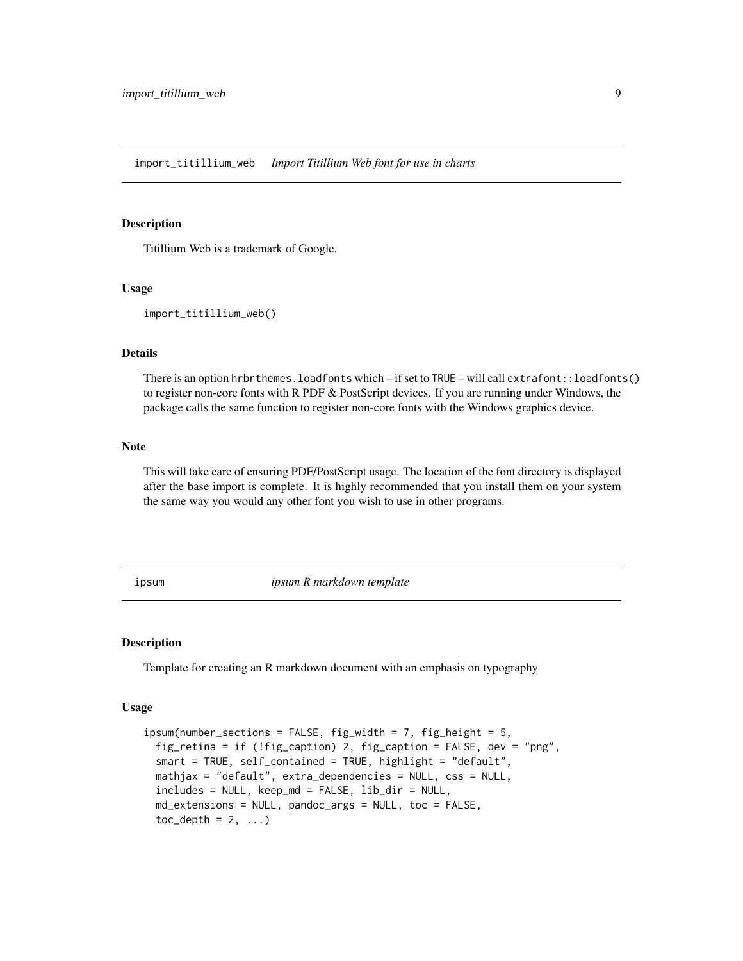<span id="page-8-0"></span>import\_titillium\_web *Import Titillium Web font for use in charts*

#### Description

Titillium Web is a trademark of Google.

#### Usage

```
import_titillium_web()
```
# Details

There is an option hrbrthemes.loadfonts which – if set to TRUE – will call extrafont::loadfonts() to register non-core fonts with R PDF & PostScript devices. If you are running under Windows, the package calls the same function to register non-core fonts with the Windows graphics device.

## Note

This will take care of ensuring PDF/PostScript usage. The location of the font directory is displayed after the base import is complete. It is highly recommended that you install them on your system the same way you would any other font you wish to use in other programs.

ipsum *ipsum R markdown template*

#### Description

Template for creating an R markdown document with an emphasis on typography

#### Usage

```
ipsum(number_sections = FALSE, fig_width = 7, fig_height = 5,
 fig_retina = if (!fig_caption) 2, fig_caption = FALSE, dev = "png",
 smart = TRUE, self_contained = TRUE, highlight = "default",
 mathjax = "default", extra_dependencies = NULL, css = NULL,
 includes = NULL, keep_md = FALSE, lib_dir = NULL,
 md_extensions = NULL, pandoc_args = NULL, toc = FALSE,
 toc\_depth = 2, ...)
```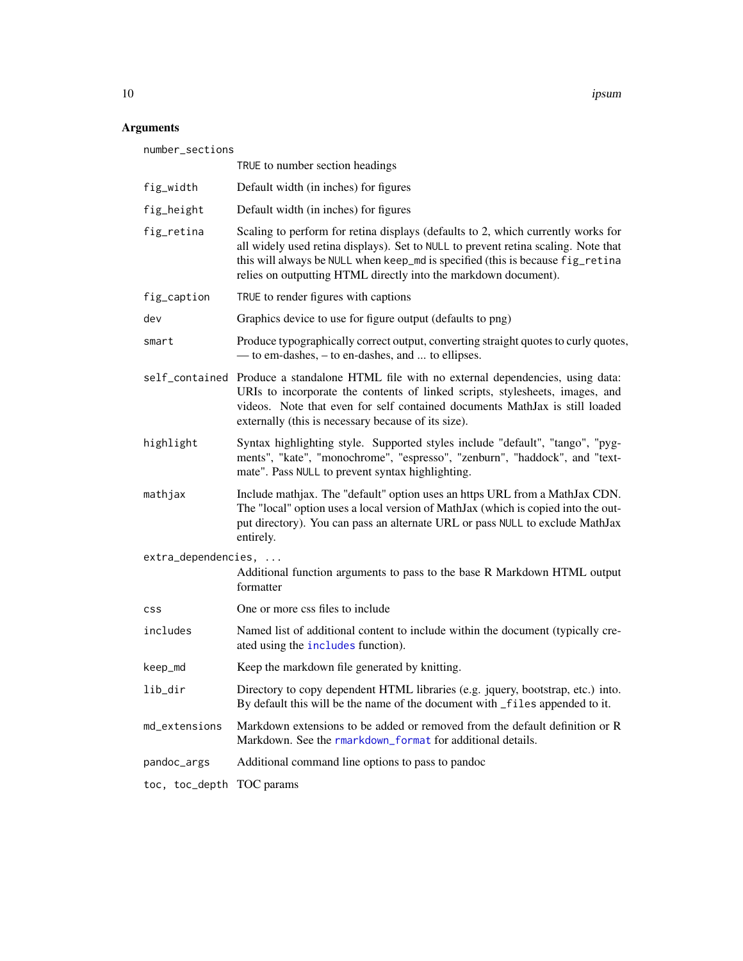10 ipsum and the set of the set of the set of the set of the set of the set of the set of the set of the set of the set of the set of the set of the set of the set of the set of the set of the set of the set of the set of

# Arguments

| number_sections     |                                                                                                                                                                                                                                                                                                                             |  |
|---------------------|-----------------------------------------------------------------------------------------------------------------------------------------------------------------------------------------------------------------------------------------------------------------------------------------------------------------------------|--|
|                     | TRUE to number section headings                                                                                                                                                                                                                                                                                             |  |
| fig_width           | Default width (in inches) for figures                                                                                                                                                                                                                                                                                       |  |
| fig_height          | Default width (in inches) for figures                                                                                                                                                                                                                                                                                       |  |
| fig_retina          | Scaling to perform for retina displays (defaults to 2, which currently works for<br>all widely used retina displays). Set to NULL to prevent retina scaling. Note that<br>this will always be NULL when keep_md is specified (this is because fig_retina<br>relies on outputting HTML directly into the markdown document). |  |
| fig_caption         | TRUE to render figures with captions                                                                                                                                                                                                                                                                                        |  |
| dev                 | Graphics device to use for figure output (defaults to png)                                                                                                                                                                                                                                                                  |  |
| smart               | Produce typographically correct output, converting straight quotes to curly quotes,<br>— to em-dashes, – to en-dashes, and  to ellipses.                                                                                                                                                                                    |  |
|                     | self_contained Produce a standalone HTML file with no external dependencies, using data:<br>URIs to incorporate the contents of linked scripts, stylesheets, images, and<br>videos. Note that even for self contained documents MathJax is still loaded<br>externally (this is necessary because of its size).              |  |
| highlight           | Syntax highlighting style. Supported styles include "default", "tango", "pyg-<br>ments", "kate", "monochrome", "espresso", "zenburn", "haddock", and "text-<br>mate". Pass NULL to prevent syntax highlighting.                                                                                                             |  |
| mathjax             | Include mathjax. The "default" option uses an https URL from a MathJax CDN.<br>The "local" option uses a local version of MathJax (which is copied into the out-<br>put directory). You can pass an alternate URL or pass NULL to exclude MathJax<br>entirely.                                                              |  |
| extra_dependencies, |                                                                                                                                                                                                                                                                                                                             |  |
|                     | Additional function arguments to pass to the base R Markdown HTML output<br>formatter                                                                                                                                                                                                                                       |  |
| <b>CSS</b>          | One or more css files to include                                                                                                                                                                                                                                                                                            |  |
| includes            | Named list of additional content to include within the document (typically cre-<br>ated using the includes function).                                                                                                                                                                                                       |  |
| keep_md             | Keep the markdown file generated by knitting.                                                                                                                                                                                                                                                                               |  |
| lib_dir             | Directory to copy dependent HTML libraries (e.g. jquery, bootstrap, etc.) into.<br>By default this will be the name of the document with _files appended to it.                                                                                                                                                             |  |
| md_extensions       | Markdown extensions to be added or removed from the default definition or R<br>Markdown. See the rmarkdown_format for additional details.                                                                                                                                                                                   |  |
| pandoc_args         | Additional command line options to pass to pandoc                                                                                                                                                                                                                                                                           |  |
| toc, toc_depth      | TOC params                                                                                                                                                                                                                                                                                                                  |  |

<span id="page-9-0"></span>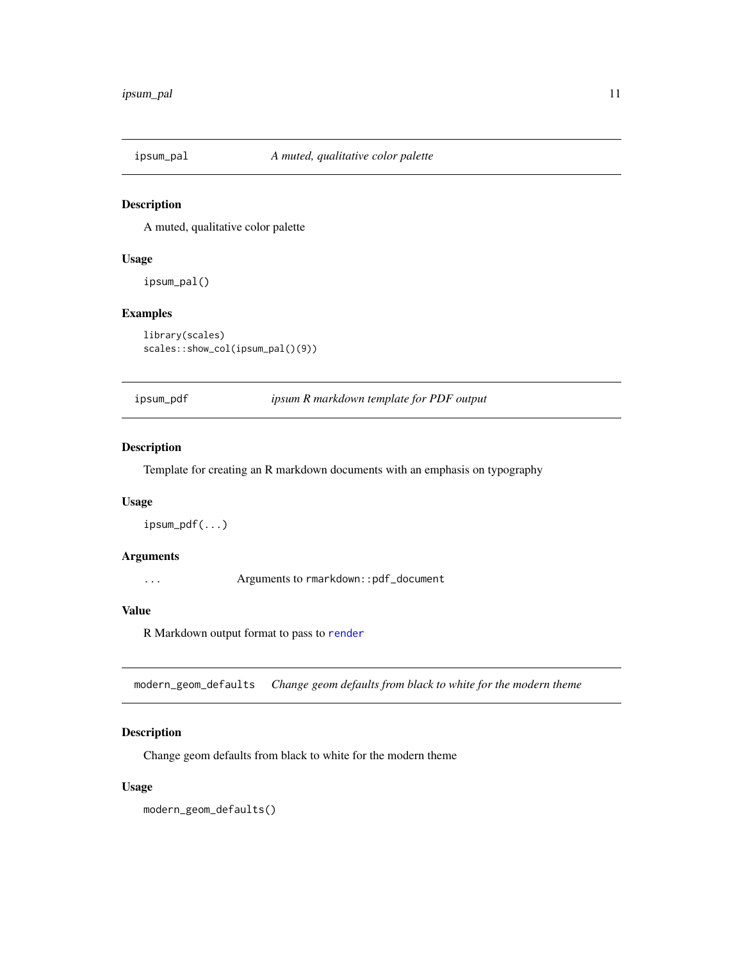<span id="page-10-0"></span>

A muted, qualitative color palette

# Usage

ipsum\_pal()

# Examples

library(scales) scales::show\_col(ipsum\_pal()(9))

ipsum\_pdf *ipsum R markdown template for PDF output*

# Description

Template for creating an R markdown documents with an emphasis on typography

#### Usage

ipsum\_pdf(...)

#### Arguments

... Arguments to rmarkdown::pdf\_document

#### Value

R Markdown output format to pass to [render](#page-0-0)

modern\_geom\_defaults *Change geom defaults from black to white for the modern theme*

# Description

Change geom defaults from black to white for the modern theme

# Usage

modern\_geom\_defaults()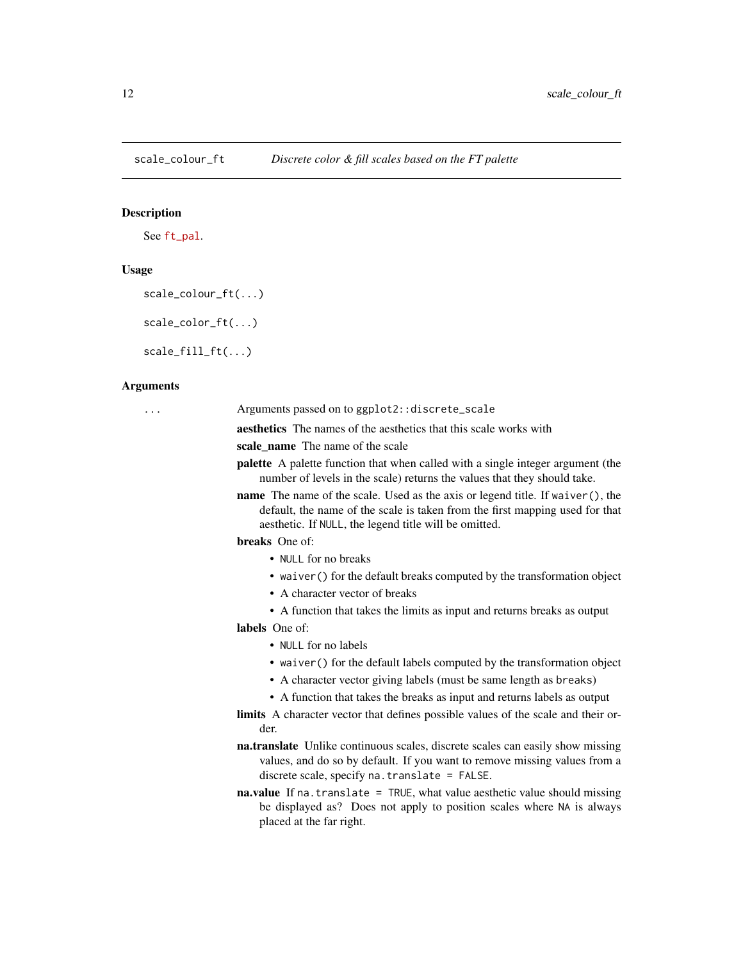<span id="page-11-0"></span>

See [ft\\_pal](ft_pal).

#### Usage

```
scale_colour_ft(...)
```
scale\_color\_ft(...)

scale\_fill\_ft(...)

## Arguments

... Arguments passed on to ggplot2::discrete\_scale

aesthetics The names of the aesthetics that this scale works with

scale name The name of the scale

- palette A palette function that when called with a single integer argument (the number of levels in the scale) returns the values that they should take.
- name The name of the scale. Used as the axis or legend title. If waiver(), the default, the name of the scale is taken from the first mapping used for that aesthetic. If NULL, the legend title will be omitted.

#### breaks One of:

- NULL for no breaks
- waiver() for the default breaks computed by the transformation object
- A character vector of breaks
- A function that takes the limits as input and returns breaks as output

labels One of:

- NULL for no labels
- waiver() for the default labels computed by the transformation object
- A character vector giving labels (must be same length as breaks)
- A function that takes the breaks as input and returns labels as output
- limits A character vector that defines possible values of the scale and their order.
- na.translate Unlike continuous scales, discrete scales can easily show missing values, and do so by default. If you want to remove missing values from a discrete scale, specify na.translate = FALSE.
- na.value If na.translate = TRUE, what value aesthetic value should missing be displayed as? Does not apply to position scales where NA is always placed at the far right.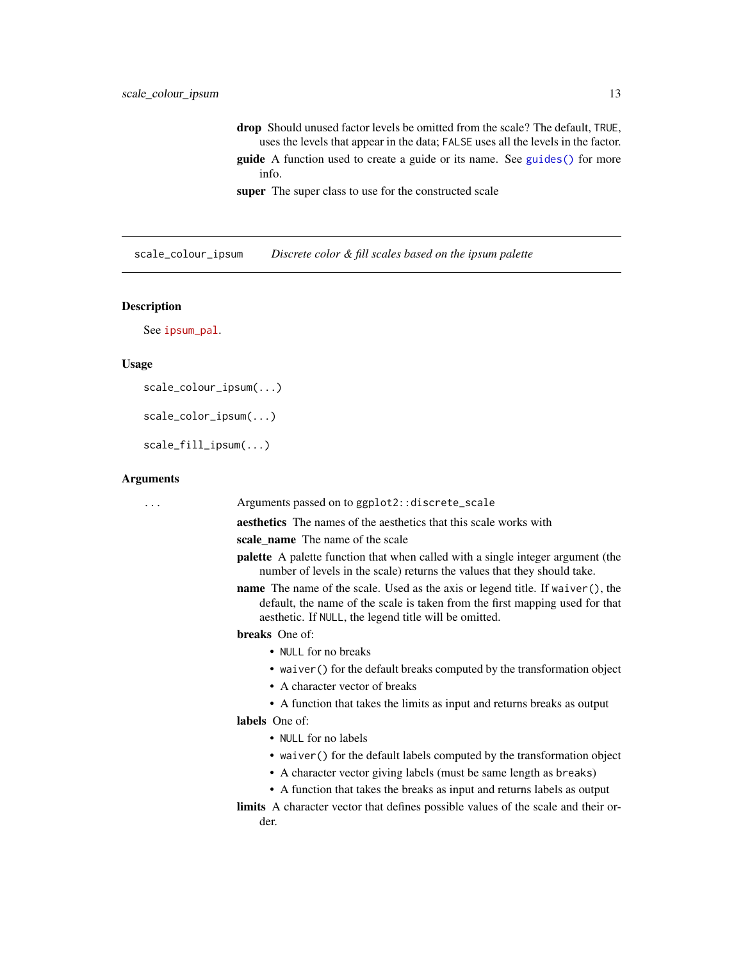<span id="page-12-0"></span>drop Should unused factor levels be omitted from the scale? The default, TRUE, uses the levels that appear in the data; FALSE uses all the levels in the factor. guide A function used to create a guide or its name. See [guides\(\)](#page-0-0) for more info.

super The super class to use for the constructed scale

scale\_colour\_ipsum *Discrete color & fill scales based on the ipsum palette*

#### Description

See [ipsum\\_pal](ipsum_pal).

#### Usage

```
scale_colour_ipsum(...)
```
scale\_color\_ipsum(...)

scale\_fill\_ipsum(...)

#### Arguments

... Arguments passed on to ggplot2::discrete\_scale aesthetics The names of the aesthetics that this scale works with scale\_name The name of the scale palette A palette function that when called with a single integer argument (the number of levels in the scale) returns the values that they should take. name The name of the scale. Used as the axis or legend title. If waiver(), the default, the name of the scale is taken from the first mapping used for that aesthetic. If NULL, the legend title will be omitted. breaks One of: • NULL for no breaks • waiver() for the default breaks computed by the transformation object • A character vector of breaks • A function that takes the limits as input and returns breaks as output labels One of: • NULL for no labels • waiver() for the default labels computed by the transformation object • A character vector giving labels (must be same length as breaks) • A function that takes the breaks as input and returns labels as output limits A character vector that defines possible values of the scale and their order.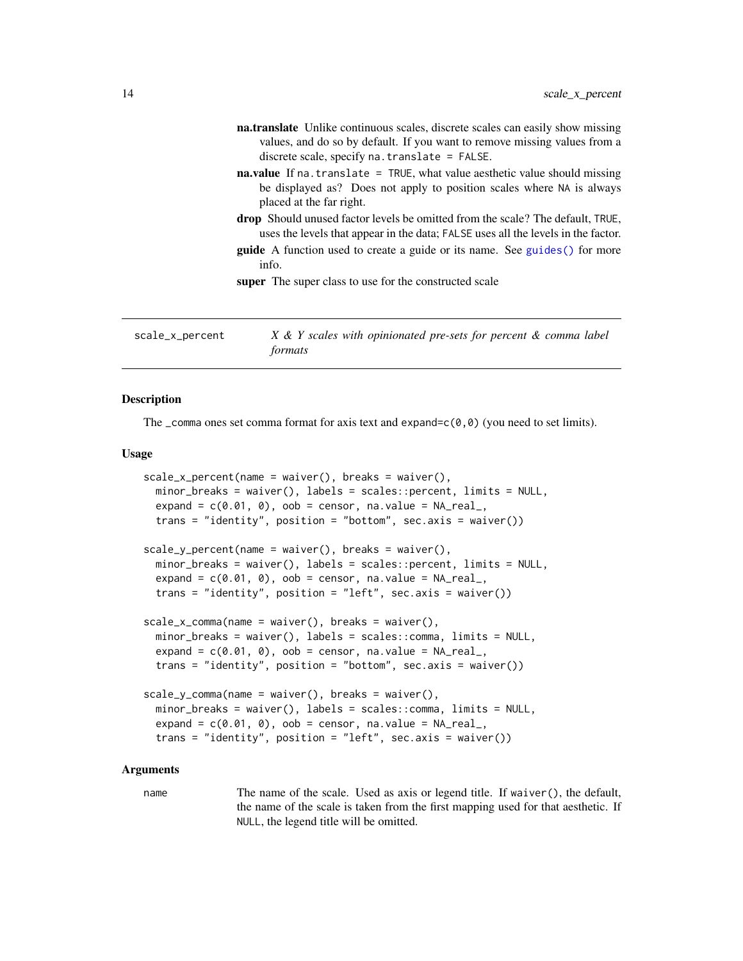<span id="page-13-0"></span>

|                 | na.translate Unlike continuous scales, discrete scales can easily show missing<br>values, and do so by default. If you want to remove missing values from a<br>discrete scale, specify $na$ . translate = FALSE.                                                          |
|-----------------|---------------------------------------------------------------------------------------------------------------------------------------------------------------------------------------------------------------------------------------------------------------------------|
|                 | <b>na.value</b> If na. translate = TRUE, what value aesthetic value should missing<br>be displayed as? Does not apply to position scales where NA is always<br>placed at the far right.                                                                                   |
|                 | <b>drop</b> Should unused factor levels be omitted from the scale? The default, TRUE,<br>uses the levels that appear in the data; FALSE uses all the levels in the factor.<br><b>guide</b> A function used to create a guide or its name. See guides () for more<br>info. |
|                 | <b>super</b> The super class to use for the constructed scale                                                                                                                                                                                                             |
| scale_x_percent | X & Y scales with opinionated pre-sets for percent & comma label                                                                                                                                                                                                          |

The comma ones set comma format for axis text and expand=c( $\theta$ , $\theta$ ) (you need to set limits).

*formats*

#### Usage

```
scale_x_percent(name = wavier(), breaks = waire(),minor_breaks = waiver(), labels = scales::percent, limits = NULL,
   expand = c(0.01, 0), oob = censor, na.value = NA\_real,
   trans = "identity", position = "bottom", sec.axis = waiver())
scale_y_percent(name = waire(), breaks = waire(),minor_breaks = waiver(), labels = scales::percent, limits = NULL,
   expand = c(0.01, 0), oob = censor, na.value = NA\_real,
   trans = "identity", position = "left", sec.axis = waiver())
scale_x_comma(name = waiver(), breaks = waiver(),
   minor_breaks = waiver(), labels = scales::comma, limits = NULL,
   expand = c(0.01, 0), oob = censor, na.value = NA\_real,
   trans = "identity", position = "bottom", sec.axis = waiver())
scale_y_{comm} = naive, b = \text{water} \cdot \text{water} \cdot \text{water} \cdot \text{water} \cdot \text{water} \cdot \text{water} \cdot \text{water} \cdot \text{water} \cdot \text{water} \cdot \text{water} \cdot \text{water} \cdot \text{water} \cdot \text{water} \cdot \text{water} \cdot \text{water} \cdot \text{water} \cdot \text{water} \cdot \text{water} \cdot \text{water} \cdot \text{water} \cdot \text{water} \cdot \text{water} \cdot \text{water} \cdot \text{water} \cdot \text{water} \cdot \text{water} \cdot \text{water} \cdot \text{water} \cdot \text{water} \cdot \text{water} \cdotminor_breaks = waiver(), labels = scales::comma, limits = NULL,
   expand = c(0.01, 0), oob = censor, na.value = NA\_real,
   trans = "identity", position = "left", sec.axis = waiver())
```
#### Arguments

name The name of the scale. Used as axis or legend title. If waiver(), the default, the name of the scale is taken from the first mapping used for that aesthetic. If NULL, the legend title will be omitted.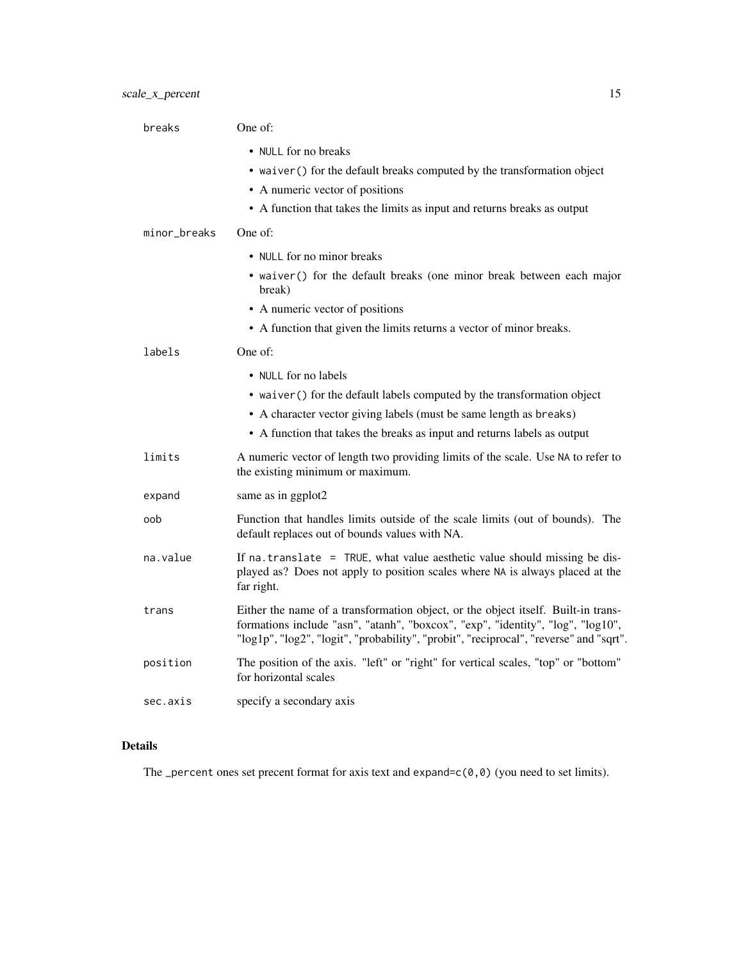| breaks       | One of:                                                                                                                                                                                                                                                        |
|--------------|----------------------------------------------------------------------------------------------------------------------------------------------------------------------------------------------------------------------------------------------------------------|
|              | • NULL for no breaks<br>• waiver () for the default breaks computed by the transformation object<br>• A numeric vector of positions                                                                                                                            |
|              | • A function that takes the limits as input and returns breaks as output                                                                                                                                                                                       |
| minor_breaks | One of:                                                                                                                                                                                                                                                        |
|              | • NULL for no minor breaks                                                                                                                                                                                                                                     |
|              | • waiver() for the default breaks (one minor break between each major<br>break)                                                                                                                                                                                |
|              | • A numeric vector of positions                                                                                                                                                                                                                                |
|              | • A function that given the limits returns a vector of minor breaks.                                                                                                                                                                                           |
| labels       | One of:                                                                                                                                                                                                                                                        |
|              | • NULL for no labels                                                                                                                                                                                                                                           |
|              | • waiver () for the default labels computed by the transformation object                                                                                                                                                                                       |
|              | • A character vector giving labels (must be same length as breaks)                                                                                                                                                                                             |
|              | • A function that takes the breaks as input and returns labels as output                                                                                                                                                                                       |
| limits       | A numeric vector of length two providing limits of the scale. Use NA to refer to<br>the existing minimum or maximum.                                                                                                                                           |
| expand       | same as in ggplot2                                                                                                                                                                                                                                             |
| oob          | Function that handles limits outside of the scale limits (out of bounds). The<br>default replaces out of bounds values with NA.                                                                                                                                |
| na.value     | If na. translate = TRUE, what value aesthetic value should missing be dis-<br>played as? Does not apply to position scales where NA is always placed at the<br>far right.                                                                                      |
| trans        | Either the name of a transformation object, or the object itself. Built-in trans-<br>formations include "asn", "atanh", "boxcox", "exp", "identity", "log", "log10",<br>"log1p", "log2", "logit", "probability", "probit", "reciprocal", "reverse" and "sqrt". |
| position     | The position of the axis. "left" or "right" for vertical scales, "top" or "bottom"<br>for horizontal scales                                                                                                                                                    |
| sec.axis     | specify a secondary axis                                                                                                                                                                                                                                       |

# Details

The \_percent ones set precent format for axis text and expand=c(0,0) (you need to set limits).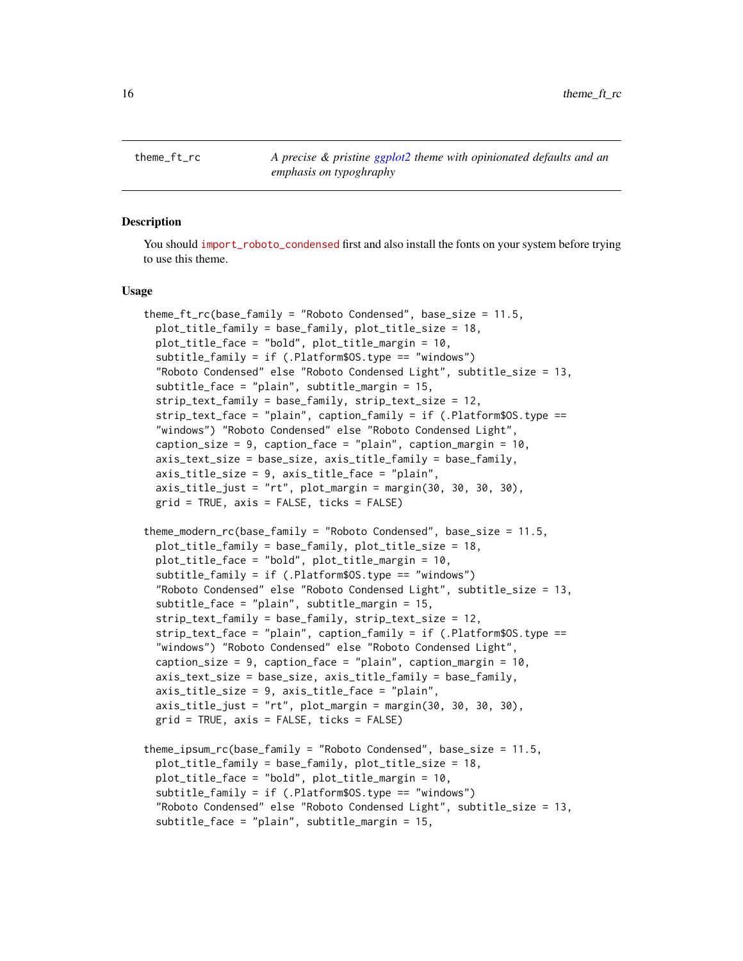<span id="page-15-0"></span>theme\_ft\_rc *A precise & pristine [ggplot2](#page-0-0) theme with opinionated defaults and an emphasis on typoghraphy*

## **Description**

You should [import\\_roboto\\_condensed](import_roboto_condensed) first and also install the fonts on your system before trying to use this theme.

#### Usage

```
theme_ft_rc(base_family = "Roboto Condensed", base_size = 11.5,
 plot_title_family = base_family, plot_title_size = 18,
 plot_title_face = "bold", plot_title_margin = 10,
 subtitle_family = if (.Platform$OS.type == "windows")
 "Roboto Condensed" else "Roboto Condensed Light", subtitle_size = 13,
 subtitle_face = "plain", subtitle_margin = 15,
 strip_text_family = base_family, strip_text_size = 12,
 strip_text_face = "plain", caption_family = if (.Platform$OS.type ==
 "windows") "Roboto Condensed" else "Roboto Condensed Light",
 caption_size = 9, caption_face = "plain", caption_margin = 10,
 axis_text_size = base_size, axis_title_family = base_family,
 axis_title_size = 9, axis_title_face = "plain",
 axis\_title\_just = "rt", plot_margin = margin(30, 30, 30, 30),
 grid = TRUE, axis = FALSE, ticks = FALSE)
theme_modern_rc(base_family = "Roboto Condensed", base_size = 11.5,
 plot_title_family = base_family, plot_title_size = 18,
 plot_title_face = "bold", plot_title_margin = 10,
 subtitle_family = if (.Platform$OS.type == "windows")
 "Roboto Condensed" else "Roboto Condensed Light", subtitle_size = 13,
 subtitle_face = "plain", subtitle_margin = 15,
 strip_text_family = base_family, strip_text_size = 12,
 strip_text_face = "plain", caption_family = if (.Platform$OS.type ==
 "windows") "Roboto Condensed" else "Roboto Condensed Light",
 caption_size = 9, caption_face = "plain", caption_margin = 10,
 axis_text_size = base_size, axis_title_family = base_family,
 axis_title_size = 9, axis_title_face = "plain",
 axis_title_just = "rt", plot_margin = margin(30, 30, 30, 30),
 grid = TRUE, axis = FALSE, ticks = FALSE)
theme_ipsum_rc(base_family = "Roboto Condensed", base_size = 11.5,
 plot_title_family = base_family, plot_title_size = 18,
 plot_title_face = "bold", plot_title_margin = 10,
 subtitle_family = if (.Platform$OS.type == "windows")
 "Roboto Condensed" else "Roboto Condensed Light", subtitle_size = 13,
 subtitle_face = "plain", subtitle_margin = 15,
```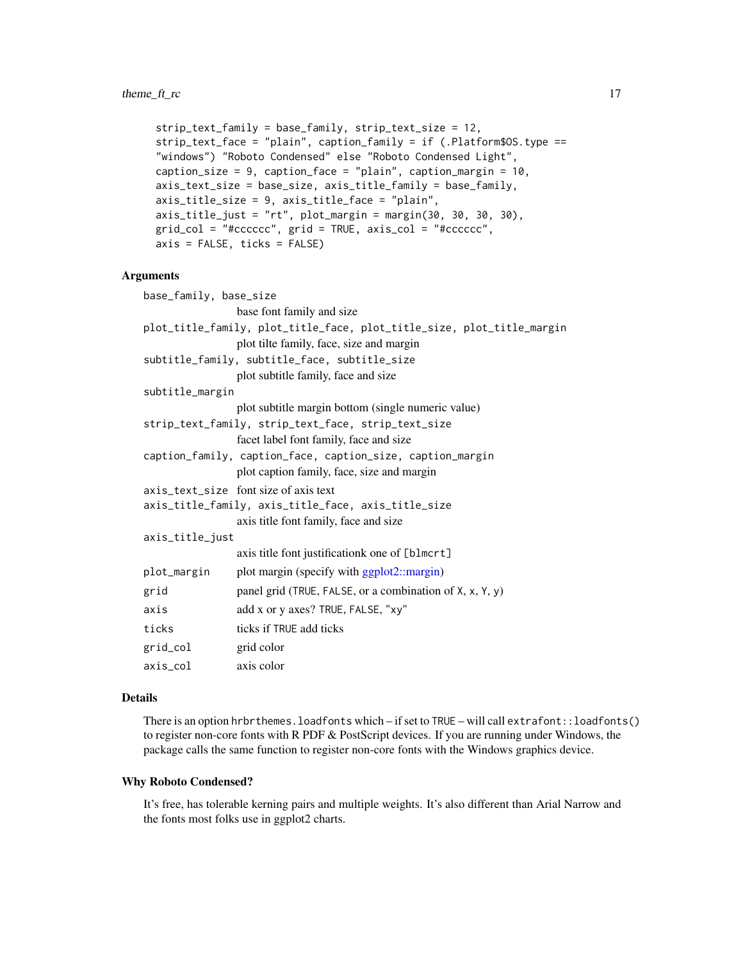```
strip_text_family = base_family, strip_text_size = 12,
strip_text_face = "plain", caption_family = if (.Platform$OS.type ==
"windows") "Roboto Condensed" else "Roboto Condensed Light",
caption_size = 9, caption_face = "plain", caption_margin = 10,
axis_text_size = base_size, axis_title_family = base_family,
axis_title_size = 9, axis_title_face = "plain",
axis_title_just = "rt", plot_margin = margin(30, 30, 30, 30),
grid_col = "#cccccc", grid = TRUE, axis_col = "#cccccc",
axis = FALSE, ticks = FALSE)
```
#### Arguments

| base_family, base_size |                                                                        |
|------------------------|------------------------------------------------------------------------|
|                        | base font family and size                                              |
|                        | plot_title_family, plot_title_face, plot_title_size, plot_title_margin |
|                        | plot tilte family, face, size and margin                               |
|                        | subtitle_family, subtitle_face, subtitle_size                          |
|                        | plot subtitle family, face and size                                    |
| subtitle_margin        |                                                                        |
|                        | plot subtitle margin bottom (single numeric value)                     |
|                        | strip_text_family, strip_text_face, strip_text_size                    |
|                        | facet label font family, face and size                                 |
|                        | caption_family, caption_face, caption_size, caption_margin             |
|                        | plot caption family, face, size and margin                             |
|                        | axis text size font size of axis text                                  |
|                        | axis_title_family, axis_title_face, axis_title_size                    |
|                        | axis title font family, face and size                                  |
| axis_title_just        |                                                                        |
|                        | axis title font justificationk one of [blmcrt]                         |
| plot_margin            | plot margin (specify with ggplot2::margin)                             |
| grid                   | panel grid (TRUE, FALSE, or a combination of X, x, Y, y)               |
| axis                   | add x or y axes? TRUE, FALSE, "xy"                                     |
| ticks                  | ticks if TRUE add ticks                                                |
| grid_col               | grid color                                                             |
| axis col               | axis color                                                             |

#### Details

There is an option hrbrthemes.loadfonts which – if set to TRUE – will call extrafont::loadfonts() to register non-core fonts with R PDF & PostScript devices. If you are running under Windows, the package calls the same function to register non-core fonts with the Windows graphics device.

#### Why Roboto Condensed?

It's free, has tolerable kerning pairs and multiple weights. It's also different than Arial Narrow and the fonts most folks use in ggplot2 charts.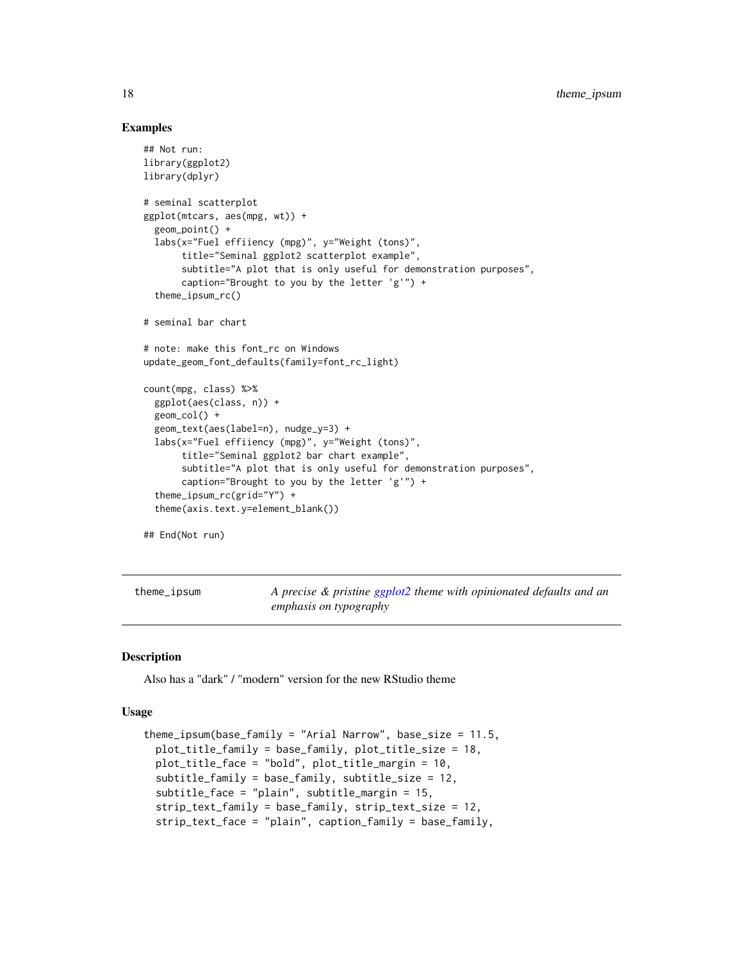#### Examples

```
## Not run:
library(ggplot2)
library(dplyr)
# seminal scatterplot
ggplot(mtcars, aes(mpg, wt)) +
 geom_point() +
 labs(x="Fuel effiiency (mpg)", y="Weight (tons)",
      title="Seminal ggplot2 scatterplot example",
      subtitle="A plot that is only useful for demonstration purposes",
      caption="Brought to you by the letter 'g'") +
 theme_ipsum_rc()
# seminal bar chart
# note: make this font_rc on Windows
update_geom_font_defaults(family=font_rc_light)
count(mpg, class) %>%
 ggplot(aes(class, n)) +
 geom_col() +
 geom_text(aes(label=n), nudge_y=3) +
 labs(x="Fuel effiiency (mpg)", y="Weight (tons)",
      title="Seminal ggplot2 bar chart example",
      subtitle="A plot that is only useful for demonstration purposes",
      caption="Brought to you by the letter 'g'") +
 theme_ipsum_rc(grid="Y") +
  theme(axis.text.y=element_blank())
```
## End(Not run)

theme\_ipsum *A precise & pristine [ggplot2](#page-0-0) theme with opinionated defaults and an emphasis on typography*

#### **Description**

Also has a "dark" / "modern" version for the new RStudio theme

#### Usage

```
theme_ipsum(base_family = "Arial Narrow", base_size = 11.5,
 plot_title_family = base_family, plot_title_size = 18,
 plot_title_face = "bold", plot_title_margin = 10,
 subtitle_family = base_family, subtitle_size = 12,
 subtitle_face = "plain", subtitle_margin = 15,
 strip_text_family = base_family, strip_text_size = 12,
 strip_text_face = "plain", caption_family = base_family,
```
<span id="page-17-0"></span>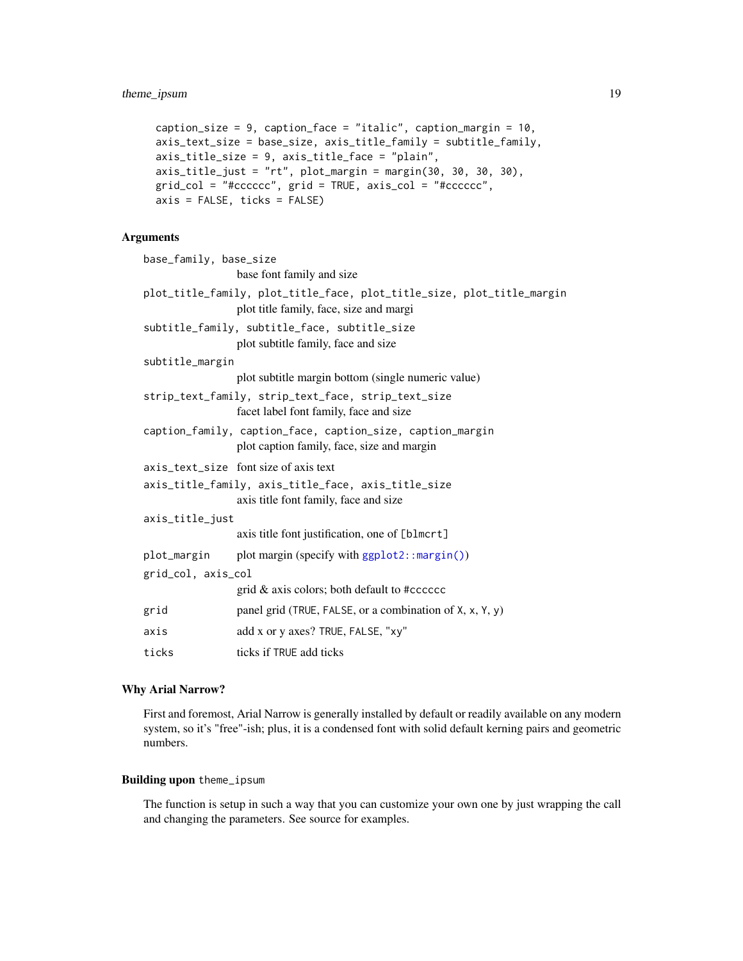```
caption_size = 9, caption_face = "italic", caption_margin = 10,
axis_text_size = base_size, axis_title_family = subtitle_family,
axis_title_size = 9, axis_title_face = "plain",
axis_title_just = "rt", plot_margin = margin(30, 30, 30, 30),
grid_col = "#cccccc", grid = TRUE, axis_col = "#cccccc",
axis = FALSE, ticks = FALSE)
```
#### Arguments

| base_family, base_size                              |                                                                                                                   |
|-----------------------------------------------------|-------------------------------------------------------------------------------------------------------------------|
|                                                     | base font family and size                                                                                         |
|                                                     | plot_title_family, plot_title_face, plot_title_size, plot_title_margin<br>plot title family, face, size and margi |
|                                                     | subtitle_family, subtitle_face, subtitle_size<br>plot subtitle family, face and size                              |
| subtitle_margin                                     |                                                                                                                   |
|                                                     | plot subtitle margin bottom (single numeric value)                                                                |
|                                                     | strip_text_family, strip_text_face, strip_text_size<br>facet label font family, face and size                     |
|                                                     | caption_family, caption_face, caption_size, caption_margin<br>plot caption family, face, size and margin          |
|                                                     | axis_text_size font size of axis text                                                                             |
| axis_title_family, axis_title_face, axis_title_size |                                                                                                                   |
|                                                     | axis title font family, face and size                                                                             |
| axis_title_just                                     |                                                                                                                   |
|                                                     | axis title font justification, one of [blmcrt]                                                                    |
|                                                     | plot_margin plot margin (specify with ggplot2::margin())                                                          |
| grid_col, axis_col                                  |                                                                                                                   |
|                                                     | grid $\&$ axis colors; both default to #cccccc                                                                    |
| grid                                                | panel grid (TRUE, FALSE, or a combination of X, x, Y, y)                                                          |
| axis                                                | add x or y axes? TRUE, FALSE, "xy"                                                                                |
| ticks                                               | ticks if TRUE add ticks                                                                                           |

# Why Arial Narrow?

First and foremost, Arial Narrow is generally installed by default or readily available on any modern system, so it's "free"-ish; plus, it is a condensed font with solid default kerning pairs and geometric numbers.

# Building upon theme\_ipsum

The function is setup in such a way that you can customize your own one by just wrapping the call and changing the parameters. See source for examples.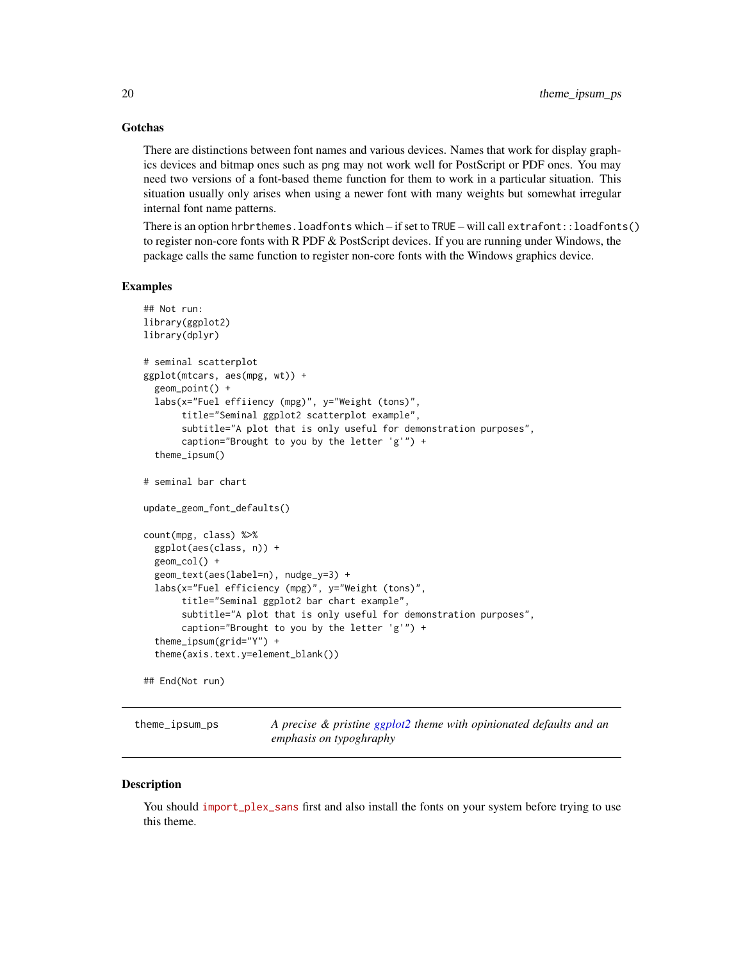#### <span id="page-19-0"></span>**Gotchas**

There are distinctions between font names and various devices. Names that work for display graphics devices and bitmap ones such as png may not work well for PostScript or PDF ones. You may need two versions of a font-based theme function for them to work in a particular situation. This situation usually only arises when using a newer font with many weights but somewhat irregular internal font name patterns.

There is an option hrbrthemes.loadfonts which – if set to TRUE – will call extrafont::loadfonts() to register non-core fonts with R PDF & PostScript devices. If you are running under Windows, the package calls the same function to register non-core fonts with the Windows graphics device.

#### Examples

```
## Not run:
library(ggplot2)
library(dplyr)
# seminal scatterplot
ggplot(mtcars, aes(mpg, wt)) +
 geom_point() +
 labs(x="Fuel effiiency (mpg)", y="Weight (tons)",
      title="Seminal ggplot2 scatterplot example",
      subtitle="A plot that is only useful for demonstration purposes",
      caption="Brought to you by the letter 'g'") +
  theme_ipsum()
# seminal bar chart
update_geom_font_defaults()
count(mpg, class) %>%
 ggplot(aes(class, n)) +
 geom_col() +
 geom_text(aes(label=n), nudge_y=3) +
 labs(x="Fuel efficiency (mpg)", y="Weight (tons)",
      title="Seminal ggplot2 bar chart example",
      subtitle="A plot that is only useful for demonstration purposes",
      caption="Brought to you by the letter 'g'") +
  theme_ipsum(grid="Y") +
  theme(axis.text.y=element_blank())
## End(Not run)
```
theme\_ipsum\_ps *A precise & pristine [ggplot2](#page-0-0) theme with opinionated defaults and an emphasis on typoghraphy*

#### **Description**

You should [import\\_plex\\_sans](import_plex_sans) first and also install the fonts on your system before trying to use this theme.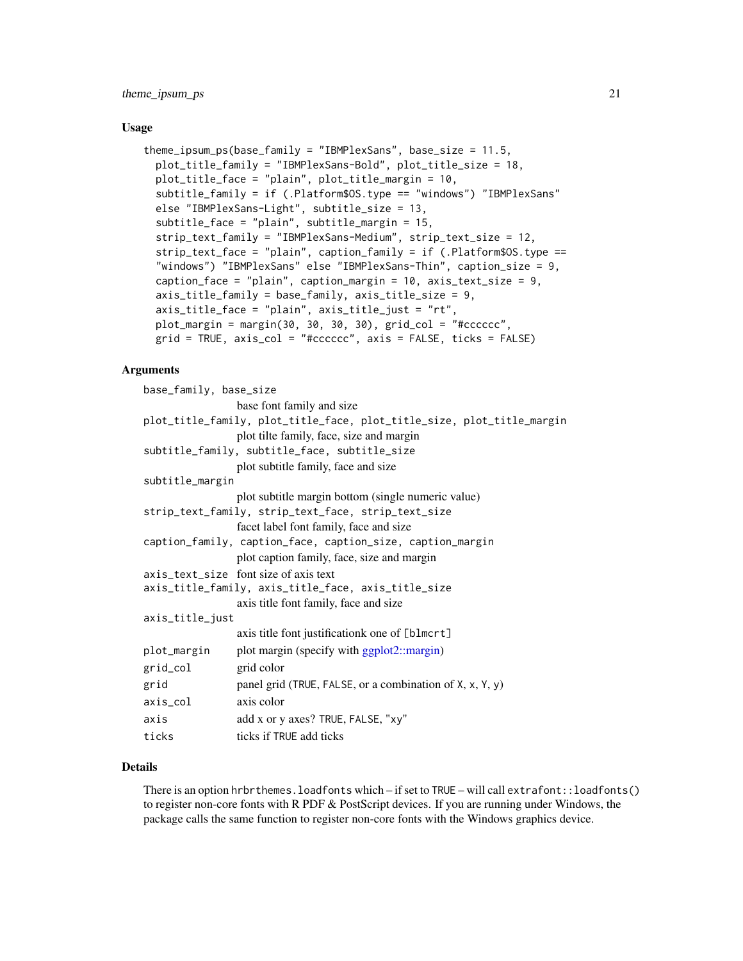#### <span id="page-20-0"></span>Usage

```
theme_ipsum_ps(base_family = "IBMPlexSans", base_size = 11.5,
 plot_title_family = "IBMPlexSans-Bold", plot_title_size = 18,
 plot_title_face = "plain", plot_title_margin = 10,
  subtitle_family = if (.Platform$OS.type == "windows") "IBMPlexSans"
  else "IBMPlexSans-Light", subtitle_size = 13,
  subtitle_face = "plain", subtitle_margin = 15,
  strip_text_family = "IBMPlexSans-Medium", strip_text_size = 12,
  strip_text_face = "plain", caption_family = if (.Platform$OS.type ==
  "windows") "IBMPlexSans" else "IBMPlexSans-Thin", caption_size = 9,
  caption_face = "plain", caption_margin = 10, axis_text_size = 9,
  axis_title_family = base_family, axis_title_size = 9,
  axis_title_face = "plain", axis_title_just = "rt",
 plot_margin = margin(30, 30, 30, 30), grid_col = "tcccccc",grid = TRUE, axis_col = "#cccccc", axis = FALSE, ticks = FALSE)
```
# Arguments

| base_family, base_size                                                 |                                                          |  |
|------------------------------------------------------------------------|----------------------------------------------------------|--|
|                                                                        | base font family and size                                |  |
| plot_title_family, plot_title_face, plot_title_size, plot_title_margin |                                                          |  |
|                                                                        | plot tilte family, face, size and margin                 |  |
| subtitle_family, subtitle_face, subtitle_size                          |                                                          |  |
|                                                                        | plot subtitle family, face and size                      |  |
| subtitle_margin                                                        |                                                          |  |
|                                                                        | plot subtitle margin bottom (single numeric value)       |  |
|                                                                        | strip_text_family, strip_text_face, strip_text_size      |  |
|                                                                        | facet label font family, face and size                   |  |
| caption_family, caption_face, caption_size, caption_margin             |                                                          |  |
|                                                                        | plot caption family, face, size and margin               |  |
|                                                                        | axis_text_size font size of axis text                    |  |
| axis_title_family, axis_title_face, axis_title_size                    |                                                          |  |
|                                                                        | axis title font family, face and size                    |  |
| axis_title_just                                                        |                                                          |  |
|                                                                        | axis title font justificationk one of [blmcrt]           |  |
| plot_margin                                                            | plot margin (specify with ggplot2::margin)               |  |
| grid_col                                                               | grid color                                               |  |
| grid                                                                   | panel grid (TRUE, FALSE, or a combination of X, x, Y, y) |  |
| axis_col                                                               | axis color                                               |  |
| axis                                                                   | add x or y axes? TRUE, FALSE, "xy"                       |  |
| ticks                                                                  | ticks if TRUE add ticks                                  |  |

# Details

There is an option hrbrthemes.loadfonts which – if set to TRUE – will call extrafont::loadfonts() to register non-core fonts with R PDF & PostScript devices. If you are running under Windows, the package calls the same function to register non-core fonts with the Windows graphics device.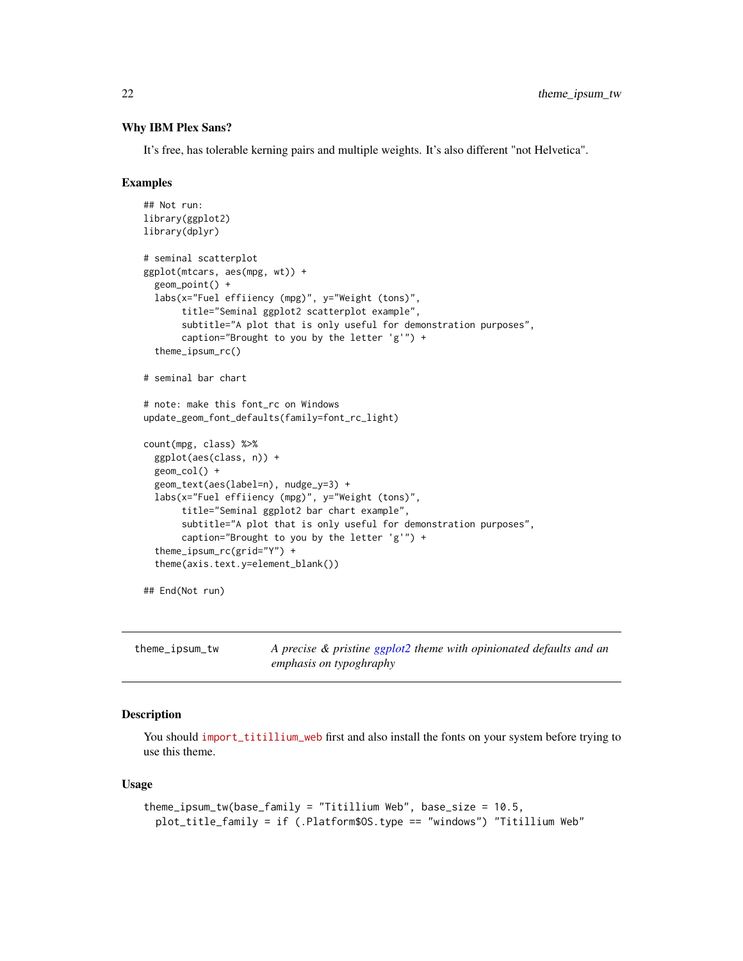# <span id="page-21-0"></span>Why IBM Plex Sans?

It's free, has tolerable kerning pairs and multiple weights. It's also different "not Helvetica".

#### Examples

```
## Not run:
library(ggplot2)
library(dplyr)
# seminal scatterplot
ggplot(mtcars, aes(mpg, wt)) +
  geom_point() +
  labs(x="Fuel effiiency (mpg)", y="Weight (tons)",
       title="Seminal ggplot2 scatterplot example",
       subtitle="A plot that is only useful for demonstration purposes",
       caption="Brought to you by the letter 'g'") +
  theme_ipsum_rc()
# seminal bar chart
# note: make this font_rc on Windows
update_geom_font_defaults(family=font_rc_light)
count(mpg, class) %>%
  ggplot(aes(class, n)) +
  geom_col() +
  geom_text(aes(label=n), nudge_y=3) +
  labs(x="Fuel effiiency (mpg)", y="Weight (tons)",
       title="Seminal ggplot2 bar chart example",
       subtitle="A plot that is only useful for demonstration purposes",
       caption="Brought to you by the letter 'g'") +
  theme_ipsum_rc(grid="Y") +
  theme(axis.text.y=element_blank())
## End(Not run)
```

| theme_ipsum_tw | A precise & pristine ggplot2 theme with opinionated defaults and an |
|----------------|---------------------------------------------------------------------|
|                | emphasis on typoghraphy                                             |

# Description

You should [import\\_titillium\\_web](import_titillium_web) first and also install the fonts on your system before trying to use this theme.

#### Usage

```
theme_ipsum_tw(base_family = "Titillium Web", base_size = 10.5,
 plot_title_family = if (.Platform$OS.type == "windows") "Titillium Web"
```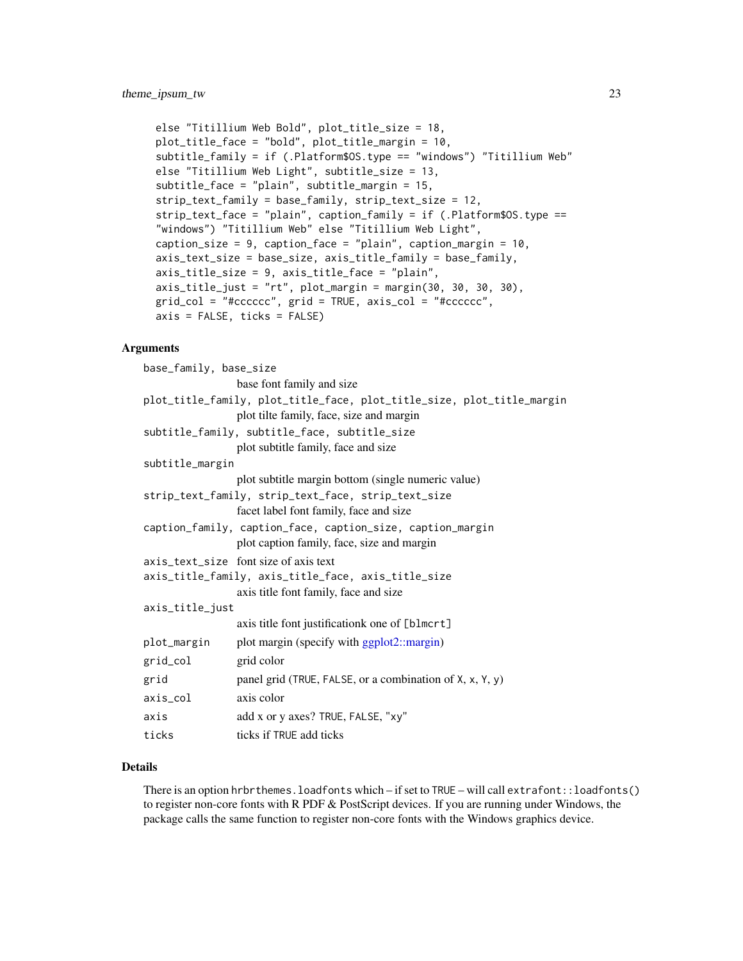```
else "Titillium Web Bold", plot_title_size = 18,
plot_title_face = "bold", plot_title_margin = 10,
subtitle_family = if (.Platform$OS.type == "windows") "Titillium Web"
else "Titillium Web Light", subtitle_size = 13,
subtitle_face = "plain", subtitle_margin = 15,
strip_text_family = base_family, strip_text_size = 12,
strip_text_face = "plain", caption_family = if (.Platform$OS.type ==
"windows") "Titillium Web" else "Titillium Web Light",
caption_size = 9, caption_face = "plain", caption_margin = 10,
axis_text_size = base_size, axis_title_family = base_family,
axis_title_size = 9, axis_title_face = "plain",
axis_title_just = "rt", plot_margin = margin(30, 30, 30, 30),
grid_col = "#cccccc", grid = TRUE, axis_col = "#cccccc",
axis = FALSE, ticks = FALSE)
```
#### Arguments

| base_family, base_size                              |                                                                                                                    |
|-----------------------------------------------------|--------------------------------------------------------------------------------------------------------------------|
|                                                     | base font family and size                                                                                          |
|                                                     | plot_title_family, plot_title_face, plot_title_size, plot_title_margin<br>plot tilte family, face, size and margin |
|                                                     | subtitle_family, subtitle_face, subtitle_size                                                                      |
|                                                     | plot subtitle family, face and size                                                                                |
| subtitle_margin                                     |                                                                                                                    |
|                                                     | plot subtitle margin bottom (single numeric value)                                                                 |
|                                                     | strip_text_family, strip_text_face, strip_text_size                                                                |
|                                                     | facet label font family, face and size                                                                             |
|                                                     | caption_family, caption_face, caption_size, caption_margin<br>plot caption family, face, size and margin           |
|                                                     | axis text size font size of axis text                                                                              |
| axis_title_family, axis_title_face, axis_title_size |                                                                                                                    |
|                                                     | axis title font family, face and size                                                                              |
| axis_title_just                                     |                                                                                                                    |
|                                                     | axis title font justificationk one of [blmcrt]                                                                     |
| plot_margin                                         | plot margin (specify with ggplot2::margin)                                                                         |
| grid_col                                            | grid color                                                                                                         |
| grid                                                | panel grid (TRUE, FALSE, or a combination of X, x, Y, y)                                                           |
| axis_col                                            | axis color                                                                                                         |
| axis                                                | add x or y axes? TRUE, FALSE, "xy"                                                                                 |
| ticks                                               | ticks if TRUE add ticks                                                                                            |
|                                                     |                                                                                                                    |

# Details

There is an option hrbrthemes.loadfonts which – if set to TRUE – will call extrafont::loadfonts() to register non-core fonts with R PDF & PostScript devices. If you are running under Windows, the package calls the same function to register non-core fonts with the Windows graphics device.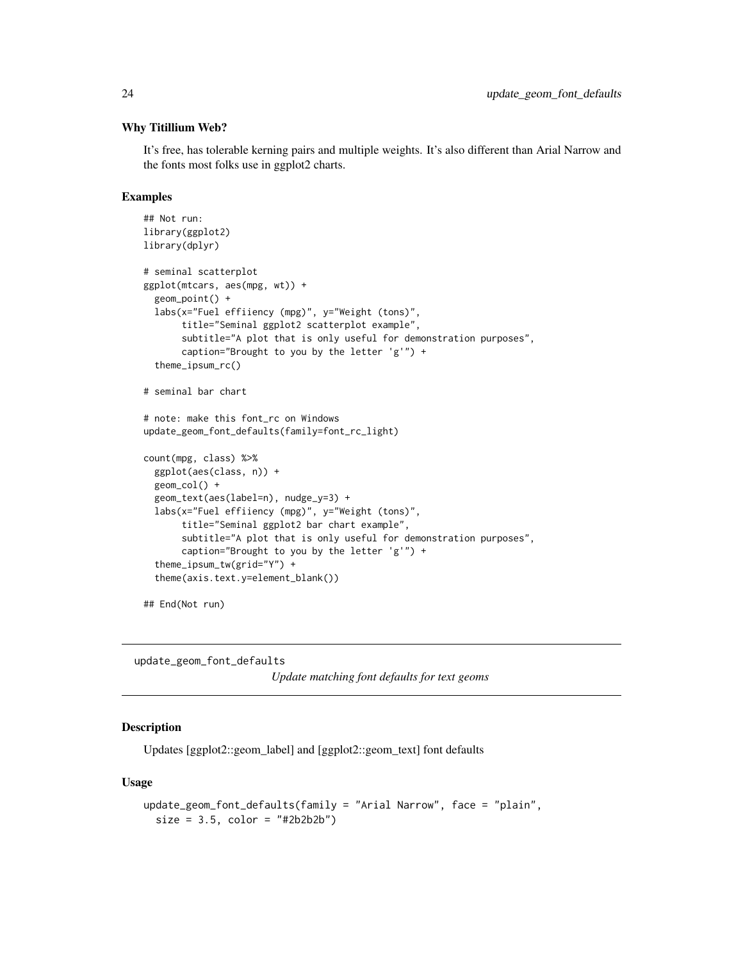#### <span id="page-23-0"></span>Why Titillium Web?

It's free, has tolerable kerning pairs and multiple weights. It's also different than Arial Narrow and the fonts most folks use in ggplot2 charts.

#### Examples

```
## Not run:
library(ggplot2)
library(dplyr)
# seminal scatterplot
ggplot(mtcars, aes(mpg, wt)) +
 geom_point() +
 labs(x="Fuel effiiency (mpg)", y="Weight (tons)",
      title="Seminal ggplot2 scatterplot example",
      subtitle="A plot that is only useful for demonstration purposes",
      caption="Brought to you by the letter 'g'") +
 theme_ipsum_rc()
# seminal bar chart
# note: make this font_rc on Windows
update_geom_font_defaults(family=font_rc_light)
count(mpg, class) %>%
 ggplot(aes(class, n)) +
 geom_col() +
 geom_text(aes(label=n), nudge_y=3) +
 labs(x="Fuel effiiency (mpg)", y="Weight (tons)",
      title="Seminal ggplot2 bar chart example",
      subtitle="A plot that is only useful for demonstration purposes",
      caption="Brought to you by the letter 'g'") +
 theme_ipsum_tw(grid="Y") +
 theme(axis.text.y=element_blank())
```
## End(Not run)

update\_geom\_font\_defaults *Update matching font defaults for text geoms*

# Description

Updates [ggplot2::geom\_label] and [ggplot2::geom\_text] font defaults

#### Usage

```
update_geom_font_defaults(family = "Arial Narrow", face = "plain",
 size = 3.5, color = "#2b2b2b")
```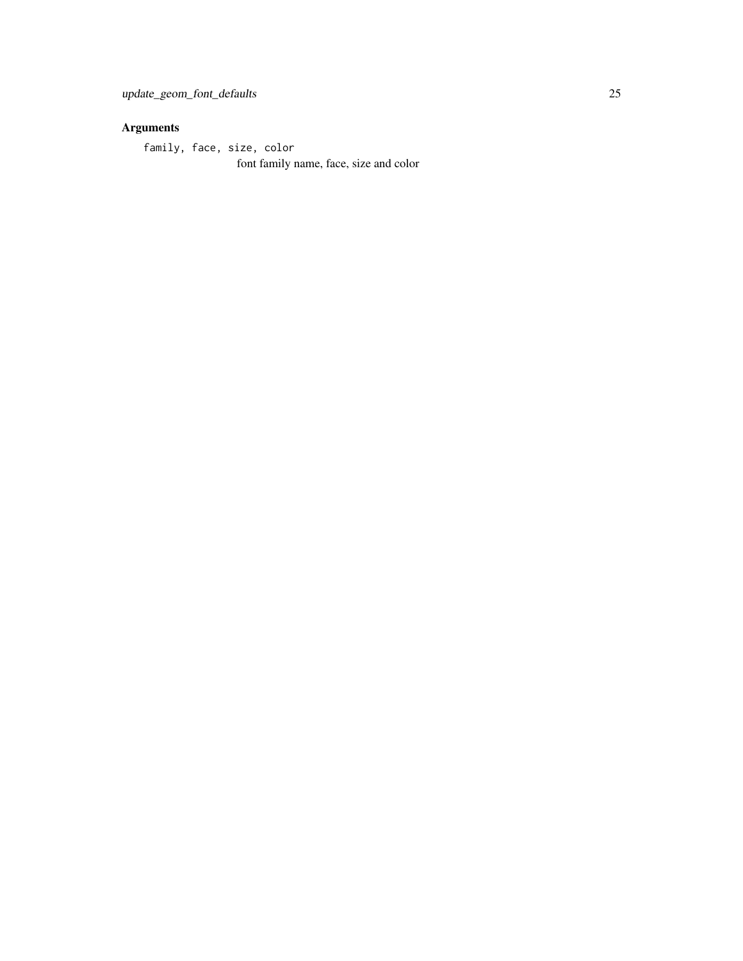# Arguments

family, face, size, color

font family name, face, size and color